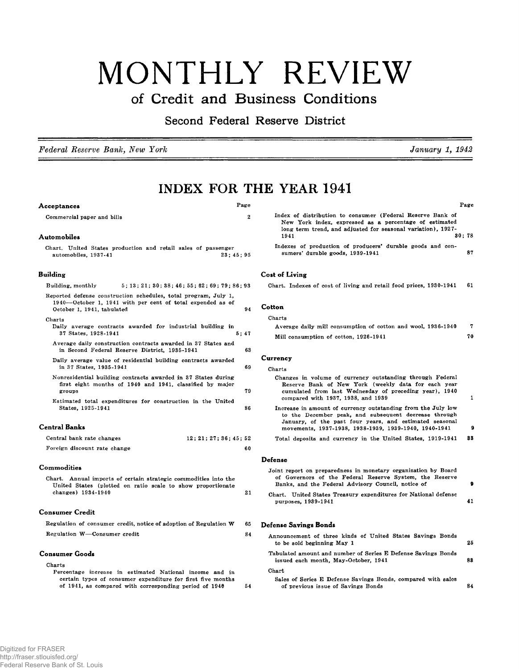# MONTHLY REVIEW

## **of Credit and Business Conditions**

**Second Federal Reserve District**

*Federal Reserve Bank, New York*

**INDEX FOR THE YEAR 1941**

## **Acceptances** Page

Commercial paper and bills 2

## **Automobiles**

Chart. United States production and retail sales of passenger<br>automobiles,  $1937-41$  23;  $45$ ;  $95$ automobiles, 1937-41

## **Building**

| 5:13:21:30:38:46:55:62:69:79:86:93<br>Building, monthly                                                                                                           |  |
|-------------------------------------------------------------------------------------------------------------------------------------------------------------------|--|
| Reported defense construction schedules, total program, July 1,<br>1940—October 1, 1941 with per cent of total expended as of<br>94<br>October 1, 1941, tabulated |  |
| Charts<br>Daily average contracts awarded for industrial building in<br>37 States, 1928-1941<br>5:47                                                              |  |
| Average daily construction contracts awarded in 37 States and<br>63<br>in Second Federal Reserve District, 1935-1941                                              |  |
| Daily average value of residential building contracts awarded<br>69<br>in 37 States, 1935-1941                                                                    |  |
| Nonresidential building contracts awarded in 37 States during<br>first eight months of 1940 and 1941, classified by major<br>79<br>groups                         |  |
| Estimated total expenditures for construction in the United<br>86<br>States, 1925-1941                                                                            |  |
| <b>Central Banks</b>                                                                                                                                              |  |
| Central bank rate changes<br>12:21:27:36:45:52                                                                                                                    |  |
| Foreign discount rate change<br>60                                                                                                                                |  |
| <b>Commodities</b>                                                                                                                                                |  |

| Chart. Annual imports of certain strategic commodities into the |    |
|-----------------------------------------------------------------|----|
| United States (plotted on ratio scale to show proportionate     |    |
| changes) $1934-1940$                                            | 21 |

## **Consumer Credit**

|                              | Regulation of consumer credit, notice of adoption of Regulation W | 65 |
|------------------------------|-------------------------------------------------------------------|----|
| Regulation W-Consumer credit |                                                                   |    |

## **Consumer Goods**

| Charts                                                      |    |
|-------------------------------------------------------------|----|
| Percentage increase in estimated National income and in     |    |
| certain types of consumer expenditure for first five months |    |
| of 1941, as compared with corresponding period of 1946      | 54 |

|                                                                                                                                                                                      | Page |
|--------------------------------------------------------------------------------------------------------------------------------------------------------------------------------------|------|
| Index of distribution to consumer (Federal Reserve Bank of<br>New York index, expressed as a percentage of estimated<br>long term trend, and adjusted for seasonal variation), 1927- |      |
| 30:78<br>1941                                                                                                                                                                        |      |
| Indexes of production of producers' durable goods and con-<br>sumers' durable goods, 1939-1941                                                                                       | 87   |

January 1, 1942

## **Cost of Living**

|  |  |  |  | Chart. Indexes of cost of living and retail food prices, 1930-1941 61 |  |
|--|--|--|--|-----------------------------------------------------------------------|--|
|  |  |  |  |                                                                       |  |

## **Cotton**

#### Charts

| Average daily mill consumption of cotton and wool, 1936-1940 |    |
|--------------------------------------------------------------|----|
| Mill consumption of cotton, 1926-1941                        | 70 |

## **Currency**

| -------                                                                                                                                                                                                                                   |    |
|-------------------------------------------------------------------------------------------------------------------------------------------------------------------------------------------------------------------------------------------|----|
| Charts                                                                                                                                                                                                                                    |    |
| Changes in volume of currency outstanding through Federal<br>Reserve Bank of New York (weekly data for each year<br>cumulated from last Wednesday of preceding year). 1940<br>compared with 1937, 1938, and 1939                          |    |
| Increase in amount of currency outstanding from the July low<br>to the December peak, and subsequent decrease through<br>January, of the past four years, and estimated seasonal<br>movements, 1937-1938, 1938-1939, 1939-1940. 1940-1941 | £  |
| Total deposits and currency in the United States, 1919-1941                                                                                                                                                                               | 83 |
| Defense                                                                                                                                                                                                                                   |    |

| Joint report on preparedness in monetary organization by Board<br>of Governors of the Federal Reserve System, the Reserve<br>Banks, and the Federal Advisory Council, notice of |    |  |  |  |  |  |  |
|---------------------------------------------------------------------------------------------------------------------------------------------------------------------------------|----|--|--|--|--|--|--|
| Chart. United States Treasury expenditures for National defense<br>purposes, 1939-1941                                                                                          | 41 |  |  |  |  |  |  |
| Defense Savings Bonds                                                                                                                                                           |    |  |  |  |  |  |  |
| Announcement of three kinds of United States Savings Bonds<br>to be sold beginning May 1                                                                                        | 25 |  |  |  |  |  |  |
| Tabulated amount and number of Series E Defense Savings Bonds<br>issued each month, May-October, 1941                                                                           | 88 |  |  |  |  |  |  |
| Chart<br>Sales of Series E Defense Savings Bonds, compared with sales                                                                                                           |    |  |  |  |  |  |  |

nds, compared with sales of previous issue of Savings Bonds **84**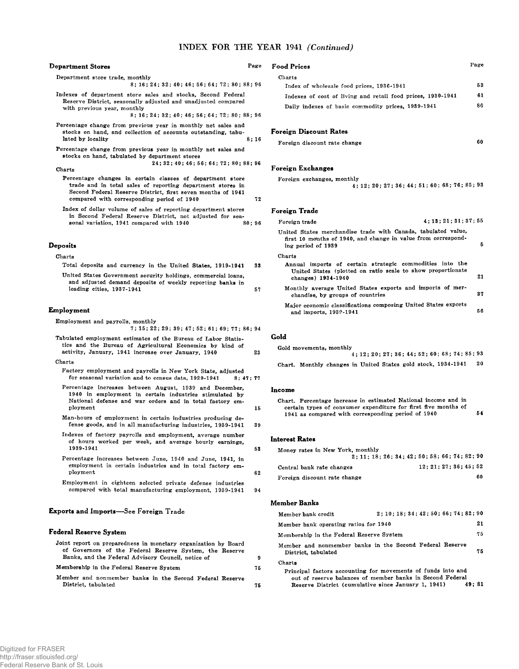## INDEX FOR THE YEAR 1941 *(Continued)*

| <b>Department Stores</b>                                                                                                                                                                                                                                                                                                                                                                | Page    | <b>Food Prices</b>                                                                                                                                                                               | Page           |
|-----------------------------------------------------------------------------------------------------------------------------------------------------------------------------------------------------------------------------------------------------------------------------------------------------------------------------------------------------------------------------------------|---------|--------------------------------------------------------------------------------------------------------------------------------------------------------------------------------------------------|----------------|
| Department store trade, monthly<br>8; 16; 24; 32; 40; 46; 56; 64; 72; 80; 88; 96<br>Indexes of department store sales and stocks, Second Federal<br>Reserve District, seasonally adjusted and unadjusted compared<br>with previous year, monthly<br>8; 16; 24; 32; 40; 46; 56; 64; 72; 80; 88; 96                                                                                       |         | Charts<br>Index of wholesale food prices, 1936-1941<br>Indexes of cost of living and retail food prices, 1930-1941<br>Daily indexes of basic commodity prices, 1989-1941                         | 53<br>61<br>86 |
| Percentage change from previous year in monthly net sales and<br>stocks on hand, and collection of accounts outstanding, tabu-<br>lated by locality<br>Percentage change from previous year in monthly net sales and<br>stocks on hand, tabulated by department stores<br>24; 32; 40; 46; 56; 64; 72; 80; 88; 96<br>Charts<br>Percentage changes in certain classes of department store | 8:16    | Foreign Discount Rates<br>Foreign discount rate change<br>Foreign Exchanges<br>Foreign exchanges, monthly                                                                                        | 60             |
| trade and in total sales of reporting department stores in<br>Second Federal Reserve District, first seven months of 1941<br>compared with corresponding period of 1940                                                                                                                                                                                                                 | 72      | 4; 12; 20; 27; 36; 44; 51; 60; 68; 76; 85; 93                                                                                                                                                    |                |
| Index of dollar volume of sales of reporting department stores<br>in Second Federal Reserve District, not adjusted for sea-                                                                                                                                                                                                                                                             |         | Foreign Trade                                                                                                                                                                                    |                |
| sonal variation, 1941 compared with 1940                                                                                                                                                                                                                                                                                                                                                | 80; 96  | 4:13:21:31:37:55<br>Foreign trade                                                                                                                                                                |                |
| <b>Deposits</b>                                                                                                                                                                                                                                                                                                                                                                         |         | United States merchandise trade with Canada, tabulated value,<br>first 10 months of 1940, and change in value from correspond-<br>ing period of 1939                                             | 5              |
| Charts                                                                                                                                                                                                                                                                                                                                                                                  |         | Charts                                                                                                                                                                                           |                |
| Total deposits and currency in the United States, 1919-1941<br>United States Government security holdings, commercial loans.                                                                                                                                                                                                                                                            |         | Annual imports of certain strategic commodities into the<br>United States (plotted on ratio scale to show proportionate<br>changes) 1934-1940                                                    | 21             |
| and adjusted demand deposits of weekly reporting banks in<br>leading cities, 1937-1941                                                                                                                                                                                                                                                                                                  | 57      | Monthly average United States exports and imports of mer-<br>chandise, by groups of countries                                                                                                    | 37             |
| Employment                                                                                                                                                                                                                                                                                                                                                                              |         | Major economic classifications composing United States exports<br>and imports, 1939-1941                                                                                                         | 56             |
| Employment and payrolls, monthly<br>7; 15; 22; 29; 39; 47; 52; 61; 69; 77; 86; 94<br>Tabulated employment estimates of the Bureau of Labor Statis-<br>tics and the Bureau of Agricultural Economics by kind of                                                                                                                                                                          |         | Gold                                                                                                                                                                                             |                |
| activity, January, 1941 increase over January, 1940                                                                                                                                                                                                                                                                                                                                     | 23      | Gold movements, monthly<br>4:12:20:27:36:44:52:60:68:74:85:93                                                                                                                                    |                |
| Charts<br>Factory employment and payrolls in New York State, adjusted<br>for seasonal variation and to census data, 1929-1941                                                                                                                                                                                                                                                           | 8:47:77 | Chart. Monthly changes in United States gold stock, 1934-1941                                                                                                                                    | 20             |
| Percentage increases between August, 1939 and December,<br>1940 in employment in certain industries stimulated by<br>National defense and war orders and in total factory em-<br>ployment                                                                                                                                                                                               | 15      | Income<br>Chart. Percentage increase in estimated National income and in<br>certain types of consumer expenditure for first five months of<br>1941 as compared with corresponding period of 1940 | 54             |
| Man-hours of employment in certain industries producing de-<br>fense goods, and in all manufacturing industries, 1939-1941                                                                                                                                                                                                                                                              | 39      |                                                                                                                                                                                                  |                |
| Indexes of factory payrolls and employment, average number<br>of hours worked per week, and average hourly earnings,<br>1939-1941                                                                                                                                                                                                                                                       | 53      | <b>Interest Rates</b><br>Money rates in New York, monthly                                                                                                                                        |                |
| Percentage increases between June, 1940 and June, 1941, in<br>employment in certain industries and in total factory em-                                                                                                                                                                                                                                                                 |         | 2: 11: 18: 26: 34: 42: 50: 58: 66: 74: 82: 90<br>12:21:27:36:45:52<br>Central bank rate changes                                                                                                  |                |

employment in certain industries and in total factory employm ent

Em ploym ent in eighteen selected private defense industries compared with total manufacturing employment, 1939-1941 94

## **Exports and Imports— See Foreign Trade**

## **Federal Reserve System**

|   |  |  | Joint report on preparedness in monetary organization by Board |  |  |
|---|--|--|----------------------------------------------------------------|--|--|
|   |  |  | of Governors of the Federal Reserve System, the Reserve        |  |  |
|   |  |  | Banks, and the Federal Advisory Council, notice of             |  |  |
| . |  |  |                                                                |  |  |

Membership in the Federal Reserve System

Member and nonmember banks in the Second Federal Reserve District, tabulated 75

## **Member Banks**

Foreign discount rate change

62

75

 $\pmb{9}$ 

| Member bank credit                                                              | 2:10:18:34:42:50:66:74:82:90                                                                                                       |    |
|---------------------------------------------------------------------------------|------------------------------------------------------------------------------------------------------------------------------------|----|
| Member bank operating ratios for 1940                                           |                                                                                                                                    | 21 |
| Membership in the Federal Reserve System                                        |                                                                                                                                    | 75 |
| Member and nonmember banks in the Second Federal Reserve<br>District, tabulated |                                                                                                                                    | 75 |
| Charts<br>Reserve District (cumulative since January 1, 1941)                   | Principal factors accounting for movements of funds into and<br>out of reserve balances of member banks in Second Federal<br>49:81 |    |

60